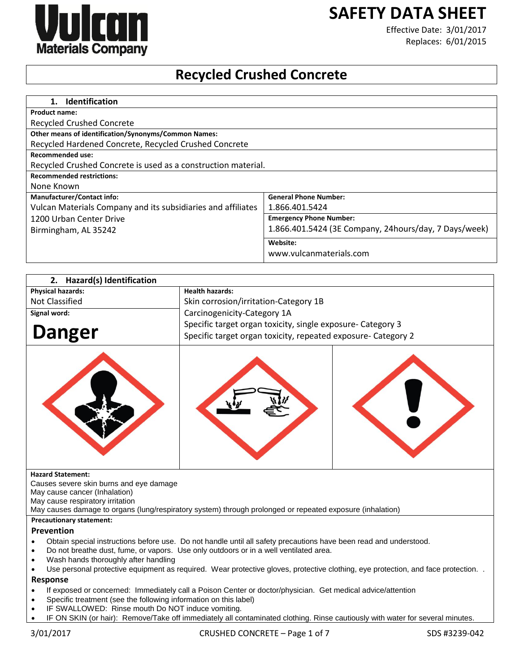# **SAFETY DATA SHEET**



Effective Date: 3/01/2017 Replaces: 6/01/2015

# **Recycled Crushed Concrete**

| <b>Identification</b><br>$1_{\cdot}$                          |                                                       |
|---------------------------------------------------------------|-------------------------------------------------------|
| <b>Product name:</b>                                          |                                                       |
| Recycled Crushed Concrete                                     |                                                       |
| Other means of identification/Synonyms/Common Names:          |                                                       |
| Recycled Hardened Concrete, Recycled Crushed Concrete         |                                                       |
| <b>Recommended use:</b>                                       |                                                       |
| Recycled Crushed Concrete is used as a construction material. |                                                       |
| <b>Recommended restrictions:</b>                              |                                                       |
| None Known                                                    |                                                       |
| <b>Manufacturer/Contact info:</b>                             | <b>General Phone Number:</b>                          |
| Vulcan Materials Company and its subsidiaries and affiliates  | 1.866.401.5424                                        |
| 1200 Urban Center Drive                                       | <b>Emergency Phone Number:</b>                        |
| Birmingham, AL 35242                                          | 1.866.401.5424 (3E Company, 24hours/day, 7 Days/week) |
|                                                               | Website:                                              |
|                                                               | www.vulcanmaterials.com                               |

| Hazard(s) Identification<br>2.                                    |                                                                                                                              |  |
|-------------------------------------------------------------------|------------------------------------------------------------------------------------------------------------------------------|--|
| <b>Physical hazards:</b>                                          | <b>Health hazards:</b>                                                                                                       |  |
| Not Classified                                                    | Skin corrosion/irritation-Category 1B                                                                                        |  |
| Signal word:                                                      | Carcinogenicity-Category 1A                                                                                                  |  |
| <b>Danger</b>                                                     | Specific target organ toxicity, single exposure- Category 3<br>Specific target organ toxicity, repeated exposure- Category 2 |  |
|                                                                   |                                                                                                                              |  |
| <b>Hazard Statement:</b>                                          |                                                                                                                              |  |
| Causes severe skin burns and eye damage                           |                                                                                                                              |  |
| May cause cancer (Inhalation)<br>May cause respiratory irritation |                                                                                                                              |  |
|                                                                   | May causes damage to organs (lung/respiratory system) through prolonged or repeated exposure (inhalation)                    |  |
| <b>Precautionary statement:</b>                                   |                                                                                                                              |  |

# **Prevention**

- Obtain special instructions before use. Do not handle until all safety precautions have been read and understood.
- Do not breathe dust, fume, or vapors. Use only outdoors or in a well ventilated area.
- Wash hands thoroughly after handling
- Use personal protective equipment as required. Wear protective gloves, protective clothing, eye protection, and face protection. . **Response**
- If exposed or concerned: Immediately call a Poison Center or doctor/physician. Get medical advice/attention
- Specific treatment (see the following information on this label)
- IF SWALLOWED: Rinse mouth Do NOT induce vomiting.
- IF ON SKIN (or hair): Remove/Take off immediately all contaminated clothing. Rinse cautiously with water for several minutes.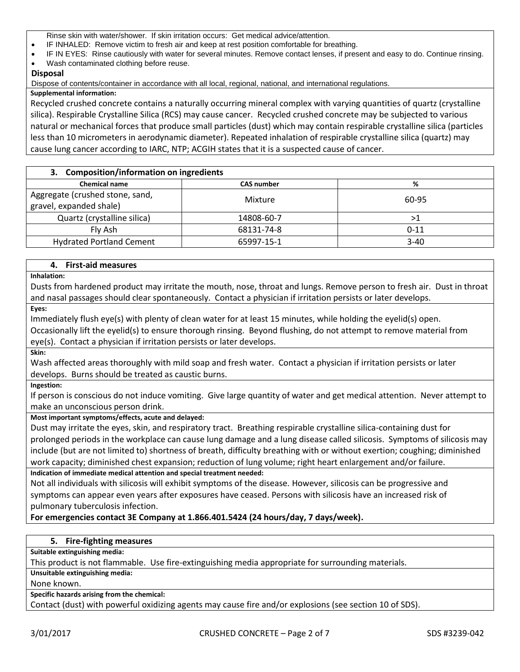Rinse skin with water/shower. If skin irritation occurs: Get medical advice/attention.

- IF INHALED: Remove victim to fresh air and keep at rest position comfortable for breathing.
- IF IN EYES: Rinse cautiously with water for several minutes. Remove contact lenses, if present and easy to do. Continue rinsing.
- Wash contaminated clothing before reuse.

# **Disposal**

Dispose of contents/container in accordance with all local, regional, national, and international regulations.

## **Supplemental information:**

Recycled crushed concrete contains a naturally occurring mineral complex with varying quantities of quartz (crystalline silica). Respirable Crystalline Silica (RCS) may cause cancer. Recycled crushed concrete may be subjected to various natural or mechanical forces that produce small particles (dust) which may contain respirable crystalline silica (particles less than 10 micrometers in aerodynamic diameter). Repeated inhalation of respirable crystalline silica (quartz) may cause lung cancer according to IARC, NTP; ACGIH states that it is a suspected cause of cancer.

| 3. Composition/information on ingredients                  |                   |          |
|------------------------------------------------------------|-------------------|----------|
| <b>Chemical name</b>                                       | <b>CAS number</b> | %        |
| Aggregate (crushed stone, sand,<br>gravel, expanded shale) | Mixture           | 60-95    |
| Quartz (crystalline silica)                                | 14808-60-7        | >1       |
| Fly Ash                                                    | 68131-74-8        | $0 - 11$ |
| <b>Hydrated Portland Cement</b>                            | 65997-15-1        | $3 - 40$ |

# **4. First-aid measures**

**Inhalation:**

Dusts from hardened product may irritate the mouth, nose, throat and lungs. Remove person to fresh air. Dust in throat and nasal passages should clear spontaneously. Contact a physician if irritation persists or later develops.

**Eyes:**

Immediately flush eye(s) with plenty of clean water for at least 15 minutes, while holding the eyelid(s) open. Occasionally lift the eyelid(s) to ensure thorough rinsing. Beyond flushing, do not attempt to remove material from eye(s). Contact a physician if irritation persists or later develops.

**Skin:**

Wash affected areas thoroughly with mild soap and fresh water. Contact a physician if irritation persists or later develops. Burns should be treated as caustic burns.

**Ingestion:**

If person is conscious do not induce vomiting. Give large quantity of water and get medical attention. Never attempt to make an unconscious person drink.

# **Most important symptoms/effects, acute and delayed:**

Dust may irritate the eyes, skin, and respiratory tract. Breathing respirable crystalline silica-containing dust for prolonged periods in the workplace can cause lung damage and a lung disease called silicosis. Symptoms of silicosis may include (but are not limited to) shortness of breath, difficulty breathing with or without exertion; coughing; diminished work capacity; diminished chest expansion; reduction of lung volume; right heart enlargement and/or failure.

# **Indication of immediate medical attention and special treatment needed:**

Not all individuals with silicosis will exhibit symptoms of the disease. However, silicosis can be progressive and symptoms can appear even years after exposures have ceased. Persons with silicosis have an increased risk of pulmonary tuberculosis infection.

# **For emergencies contact 3E Company at 1.866.401.5424 (24 hours/day, 7 days/week).**

# **5. Fire-fighting measures**

**Suitable extinguishing media:**

This product is not flammable. Use fire-extinguishing media appropriate for surrounding materials.

**Unsuitable extinguishing media:**

None known.

**Specific hazards arising from the chemical:**

Contact (dust) with powerful oxidizing agents may cause fire and/or explosions (see section 10 of SDS).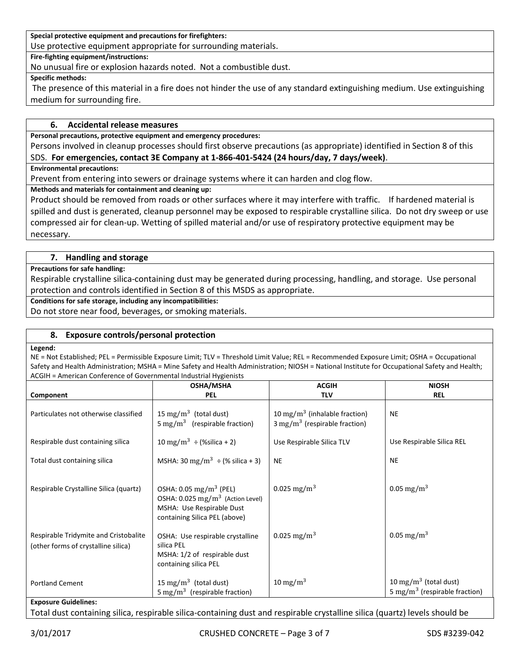**Special protective equipment and precautions for firefighters:**

Use protective equipment appropriate for surrounding materials.

**Fire-fighting equipment/instructions:**

No unusual fire or explosion hazards noted. Not a combustible dust.

**Specific methods:**

The presence of this material in a fire does not hinder the use of any standard extinguishing medium. Use extinguishing medium for surrounding fire.

# **6. Accidental release measures**

**Personal precautions, protective equipment and emergency procedures:**

Persons involved in cleanup processes should first observe precautions (as appropriate) identified in Section 8 of this SDS. **For emergencies, contact 3E Company at 1-866-401-5424 (24 hours/day, 7 days/week)**.

**Environmental precautions:**

Prevent from entering into sewers or drainage systems where it can harden and clog flow.

**Methods and materials for containment and cleaning up:**

Product should be removed from roads or other surfaces where it may interfere with traffic. If hardened material is spilled and dust is generated, cleanup personnel may be exposed to respirable crystalline silica. Do not dry sweep or use compressed air for clean-up. Wetting of spilled material and/or use of respiratory protective equipment may be necessary.

#### **7. Handling and storage**

**Precautions for safe handling:**

Respirable crystalline silica-containing dust may be generated during processing, handling, and storage. Use personal protection and controls identified in Section 8 of this MSDS as appropriate.

**Conditions for safe storage, including any incompatibilities:**

Do not store near food, beverages, or smoking materials.

#### **8. Exposure controls/personal protection**

#### **Legend:**

NE = Not Established; PEL = Permissible Exposure Limit; TLV = Threshold Limit Value; REL = Recommended Exposure Limit; OSHA = Occupational Safety and Health Administration; MSHA = Mine Safety and Health Administration; NIOSH = National Institute for Occupational Safety and Health; ACGIH = American Conference of Governmental Industrial Hygienists

|                                                                              | ACQIIT – AMERICAN COMERCILE OF QOVERNMENTAL MUUSTRA HYKIEMISTS                                                                                  |                                                                                       |                                                                                |  |  |
|------------------------------------------------------------------------------|-------------------------------------------------------------------------------------------------------------------------------------------------|---------------------------------------------------------------------------------------|--------------------------------------------------------------------------------|--|--|
|                                                                              | <b>OSHA/MSHA</b>                                                                                                                                | <b>ACGIH</b>                                                                          | <b>NIOSH</b>                                                                   |  |  |
| Component                                                                    | <b>PEL</b>                                                                                                                                      | <b>TLV</b>                                                                            | <b>REL</b>                                                                     |  |  |
| Particulates not otherwise classified                                        | 15 mg/m <sup>3</sup> (total dust)<br>5 mg/m <sup>3</sup> (respirable fraction)                                                                  | 10 mg/m <sup>3</sup> (inhalable fraction)<br>$3 \text{ mg/m}^3$ (respirable fraction) | <b>NE</b>                                                                      |  |  |
| Respirable dust containing silica                                            | 10 mg/m <sup>3</sup> $\div$ (%silica + 2)                                                                                                       | Use Respirable Silica TLV                                                             | Use Respirable Silica REL                                                      |  |  |
| Total dust containing silica                                                 | MSHA: 30 mg/m <sup>3</sup> $\div$ (% silica + 3)                                                                                                | <b>NE</b>                                                                             | <b>NE</b>                                                                      |  |  |
| Respirable Crystalline Silica (quartz)                                       | OSHA: $0.05 \text{ mg/m}^3$ (PEL)<br>OSHA: 0.025 mg/m <sup>3</sup> (Action Level)<br>MSHA: Use Respirable Dust<br>containing Silica PEL (above) | 0.025 mg/m <sup>3</sup>                                                               | 0.05 mg/m <sup>3</sup>                                                         |  |  |
| Respirable Tridymite and Cristobalite<br>(other forms of crystalline silica) | OSHA: Use respirable crystalline<br>silica PEL<br>MSHA: 1/2 of respirable dust<br>containing silica PEL                                         | 0.025 mg/m <sup>3</sup>                                                               | 0.05 mg/m <sup>3</sup>                                                         |  |  |
| <b>Portland Cement</b><br><b>Exposure Guidelines:</b>                        | 15 mg/m <sup>3</sup> (total dust)<br>5 mg/m <sup>3</sup> (respirable fraction)                                                                  | $10 \text{ mg/m}^3$                                                                   | 10 mg/m <sup>3</sup> (total dust)<br>5 mg/m <sup>3</sup> (respirable fraction) |  |  |

Total dust containing silica, respirable silica-containing dust and respirable crystalline silica (quartz) levels should be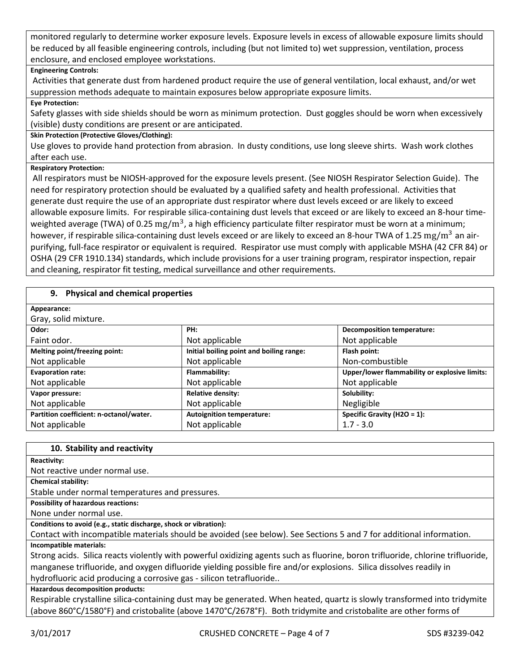monitored regularly to determine worker exposure levels. Exposure levels in excess of allowable exposure limits should be reduced by all feasible engineering controls, including (but not limited to) wet suppression, ventilation, process enclosure, and enclosed employee workstations.

# **Engineering Controls:**

Activities that generate dust from hardened product require the use of general ventilation, local exhaust, and/or wet suppression methods adequate to maintain exposures below appropriate exposure limits.

## **Eye Protection:**

Safety glasses with side shields should be worn as minimum protection. Dust goggles should be worn when excessively (visible) dusty conditions are present or are anticipated.

# **Skin Protection (Protective Gloves/Clothing):**

Use gloves to provide hand protection from abrasion. In dusty conditions, use long sleeve shirts. Wash work clothes after each use.

# **Respiratory Protection:**

All respirators must be NIOSH-approved for the exposure levels present. (See NIOSH Respirator Selection Guide). The need for respiratory protection should be evaluated by a qualified safety and health professional. Activities that generate dust require the use of an appropriate dust respirator where dust levels exceed or are likely to exceed allowable exposure limits. For respirable silica-containing dust levels that exceed or are likely to exceed an 8-hour timeweighted average (TWA) of 0.25  $\rm mg/m^3$ , a high efficiency particulate filter respirator must be worn at a minimum; however, if respirable silica-containing dust levels exceed or are likely to exceed an 8-hour TWA of 1.25 mg/m<sup>3</sup> an airpurifying, full-face respirator or equivalent is required. Respirator use must comply with applicable MSHA (42 CFR 84) or OSHA (29 CFR 1910.134) standards, which include provisions for a user training program, respirator inspection, repair and cleaning, respirator fit testing, medical surveillance and other requirements.

# **9. Physical and chemical properties**

| Appearance:                             |                                          |                                               |
|-----------------------------------------|------------------------------------------|-----------------------------------------------|
| Gray, solid mixture.                    |                                          |                                               |
| Odor:                                   | PH:                                      | Decomposition temperature:                    |
| Faint odor.                             | Not applicable                           | Not applicable                                |
| Melting point/freezing point:           | Initial boiling point and boiling range: | Flash point:                                  |
| Not applicable                          | Not applicable                           | Non-combustible                               |
| <b>Evaporation rate:</b>                | Flammability:                            | Upper/lower flammability or explosive limits: |
| Not applicable                          | Not applicable                           | Not applicable                                |
| Vapor pressure:                         | <b>Relative density:</b>                 | Solubility:                                   |
| Not applicable                          | Not applicable                           | Negligible                                    |
| Partition coefficient: n-octanol/water. | <b>Autoignition temperature:</b>         | Specific Gravity (H2O = 1):                   |
| Not applicable                          | Not applicable                           | $1.7 - 3.0$                                   |

#### **10. Stability and reactivity**

#### **Reactivity:**

Not reactive under normal use.

**Chemical stability:**

Stable under normal temperatures and pressures.

**Possibility of hazardous reactions:**

None under normal use.

# **Conditions to avoid (e.g., static discharge, shock or vibration):**

Contact with incompatible materials should be avoided (see below). See Sections 5 and 7 for additional information. **Incompatible materials:**

Strong acids. Silica reacts violently with powerful oxidizing agents such as fluorine, boron trifluoride, chlorine trifluoride, manganese trifluoride, and oxygen difluoride yielding possible fire and/or explosions. Silica dissolves readily in hydrofluoric acid producing a corrosive gas - silicon tetrafluoride..

# **Hazardous decomposition products:**

Respirable crystalline silica-containing dust may be generated. When heated, quartz is slowly transformed into tridymite (above 860°C/1580°F) and cristobalite (above 1470°C/2678°F). Both tridymite and cristobalite are other forms of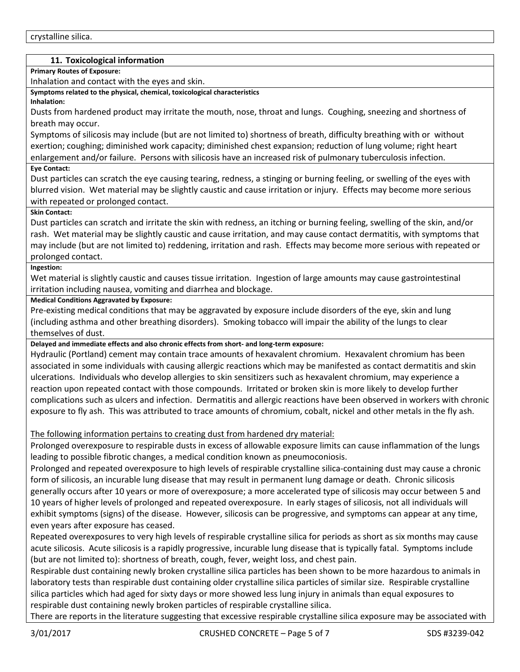# **11. Toxicological information**

**Primary Routes of Exposure:**

Inhalation and contact with the eyes and skin.

**Symptoms related to the physical, chemical, toxicological characteristics**

**Inhalation:**

Dusts from hardened product may irritate the mouth, nose, throat and lungs. Coughing, sneezing and shortness of breath may occur.

Symptoms of silicosis may include (but are not limited to) shortness of breath, difficulty breathing with or without exertion; coughing; diminished work capacity; diminished chest expansion; reduction of lung volume; right heart enlargement and/or failure. Persons with silicosis have an increased risk of pulmonary tuberculosis infection.

# **Eye Contact:**

Dust particles can scratch the eye causing tearing, redness, a stinging or burning feeling, or swelling of the eyes with blurred vision. Wet material may be slightly caustic and cause irritation or injury. Effects may become more serious with repeated or prolonged contact.

# **Skin Contact:**

Dust particles can scratch and irritate the skin with redness, an itching or burning feeling, swelling of the skin, and/or rash. Wet material may be slightly caustic and cause irritation, and may cause contact dermatitis, with symptoms that may include (but are not limited to) reddening, irritation and rash. Effects may become more serious with repeated or prolonged contact.

#### **Ingestion:**

Wet material is slightly caustic and causes tissue irritation. Ingestion of large amounts may cause gastrointestinal irritation including nausea, vomiting and diarrhea and blockage.

# **Medical Conditions Aggravated by Exposure:**

Pre-existing medical conditions that may be aggravated by exposure include disorders of the eye, skin and lung (including asthma and other breathing disorders). Smoking tobacco will impair the ability of the lungs to clear themselves of dust.

# **Delayed and immediate effects and also chronic effects from short- and long-term exposure:**

Hydraulic (Portland) cement may contain trace amounts of hexavalent chromium. Hexavalent chromium has been associated in some individuals with causing allergic reactions which may be manifested as contact dermatitis and skin ulcerations. Individuals who develop allergies to skin sensitizers such as hexavalent chromium, may experience a reaction upon repeated contact with those compounds. Irritated or broken skin is more likely to develop further complications such as ulcers and infection. Dermatitis and allergic reactions have been observed in workers with chronic exposure to fly ash. This was attributed to trace amounts of chromium, cobalt, nickel and other metals in the fly ash.

# The following information pertains to creating dust from hardened dry material:

Prolonged overexposure to respirable dusts in excess of allowable exposure limits can cause inflammation of the lungs leading to possible fibrotic changes, a medical condition known as pneumoconiosis.

Prolonged and repeated overexposure to high levels of respirable crystalline silica-containing dust may cause a chronic form of silicosis, an incurable lung disease that may result in permanent lung damage or death. Chronic silicosis generally occurs after 10 years or more of overexposure; a more accelerated type of silicosis may occur between 5 and 10 years of higher levels of prolonged and repeated overexposure. In early stages of silicosis, not all individuals will exhibit symptoms (signs) of the disease. However, silicosis can be progressive, and symptoms can appear at any time, even years after exposure has ceased.

Repeated overexposures to very high levels of respirable crystalline silica for periods as short as six months may cause acute silicosis. Acute silicosis is a rapidly progressive, incurable lung disease that is typically fatal. Symptoms include (but are not limited to): shortness of breath, cough, fever, weight loss, and chest pain.

Respirable dust containing newly broken crystalline silica particles has been shown to be more hazardous to animals in laboratory tests than respirable dust containing older crystalline silica particles of similar size. Respirable crystalline silica particles which had aged for sixty days or more showed less lung injury in animals than equal exposures to respirable dust containing newly broken particles of respirable crystalline silica.

There are reports in the literature suggesting that excessive respirable crystalline silica exposure may be associated with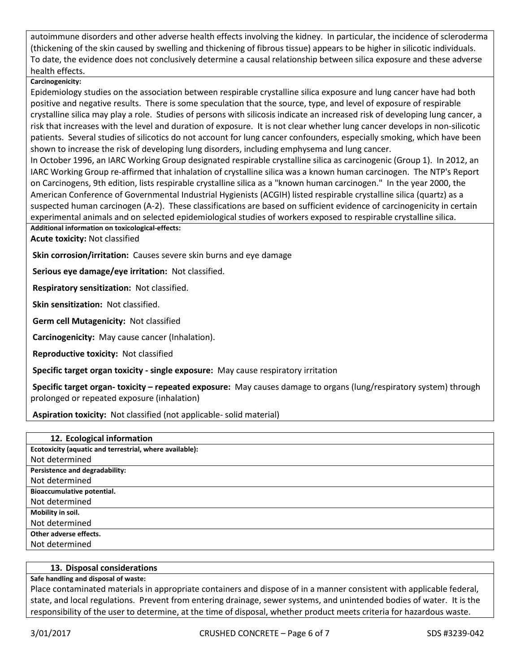autoimmune disorders and other adverse health effects involving the kidney. In particular, the incidence of scleroderma (thickening of the skin caused by swelling and thickening of fibrous tissue) appears to be higher in silicotic individuals. To date, the evidence does not conclusively determine a causal relationship between silica exposure and these adverse health effects.

# **Carcinogenicity:**

Epidemiology studies on the association between respirable crystalline silica exposure and lung cancer have had both positive and negative results. There is some speculation that the source, type, and level of exposure of respirable crystalline silica may play a role. Studies of persons with silicosis indicate an increased risk of developing lung cancer, a risk that increases with the level and duration of exposure. It is not clear whether lung cancer develops in non-silicotic patients. Several studies of silicotics do not account for lung cancer confounders, especially smoking, which have been shown to increase the risk of developing lung disorders, including emphysema and lung cancer.

In October 1996, an IARC Working Group designated respirable crystalline silica as carcinogenic (Group 1). In 2012, an IARC Working Group re-affirmed that inhalation of crystalline silica was a known human carcinogen. The NTP's Report on Carcinogens, 9th edition, lists respirable crystalline silica as a "known human carcinogen." In the year 2000, the American Conference of Governmental Industrial Hygienists (ACGIH) listed respirable crystalline silica (quartz) as a suspected human carcinogen (A-2). These classifications are based on sufficient evidence of carcinogenicity in certain experimental animals and on selected epidemiological studies of workers exposed to respirable crystalline silica.

# **Additional information on toxicological-effects:**

**Acute toxicity:** Not classified

**Skin corrosion/irritation:** Causes severe skin burns and eye damage

**Serious eye damage/eye irritation:** Not classified.

**Respiratory sensitization:** Not classified.

**Skin sensitization:** Not classified.

**Germ cell Mutagenicity:** Not classified

**Carcinogenicity:** May cause cancer (Inhalation).

**Reproductive toxicity:** Not classified

**Specific target organ toxicity - single exposure:** May cause respiratory irritation

**Specific target organ- toxicity – repeated exposure:** May causes damage to organs (lung/respiratory system) through prolonged or repeated exposure (inhalation)

**Aspiration toxicity:** Not classified (not applicable- solid material)

#### **13. Disposal considerations**

# **Safe handling and disposal of waste:**

Place contaminated materials in appropriate containers and dispose of in a manner consistent with applicable federal, state, and local regulations. Prevent from entering drainage, sewer systems, and unintended bodies of water. It is the responsibility of the user to determine, at the time of disposal, whether product meets criteria for hazardous waste.